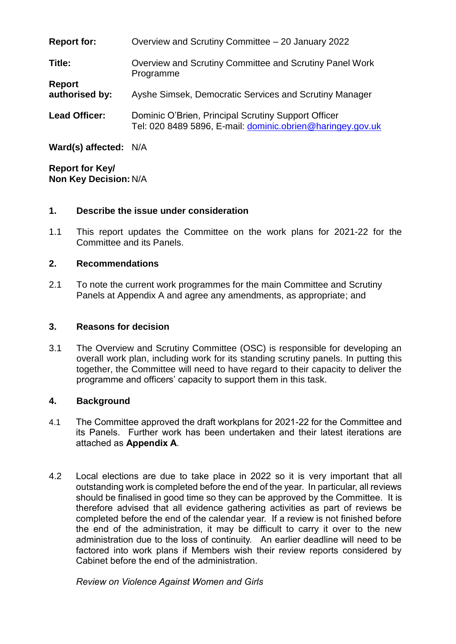| <b>Report for:</b>              | Overview and Scrutiny Committee - 20 January 2022                                                                 |
|---------------------------------|-------------------------------------------------------------------------------------------------------------------|
| Title:                          | Overview and Scrutiny Committee and Scrutiny Panel Work<br>Programme                                              |
| <b>Report</b><br>authorised by: | Ayshe Simsek, Democratic Services and Scrutiny Manager                                                            |
| <b>Lead Officer:</b>            | Dominic O'Brien, Principal Scrutiny Support Officer<br>Tel: 020 8489 5896, E-mail: dominic.obrien@haringey.gov.uk |
|                                 |                                                                                                                   |

**Ward(s) affected:** N/A

**Report for Key/ Non Key Decision:** N/A

# **1. Describe the issue under consideration**

1.1 This report updates the Committee on the work plans for 2021-22 for the Committee and its Panels.

# **2. Recommendations**

2.1 To note the current work programmes for the main Committee and Scrutiny Panels at Appendix A and agree any amendments, as appropriate; and

# **3. Reasons for decision**

3.1 The Overview and Scrutiny Committee (OSC) is responsible for developing an overall work plan, including work for its standing scrutiny panels. In putting this together, the Committee will need to have regard to their capacity to deliver the programme and officers' capacity to support them in this task.

# **4. Background**

- 4.1 The Committee approved the draft workplans for 2021-22 for the Committee and its Panels. Further work has been undertaken and their latest iterations are attached as **Appendix A**.
- 4.2 Local elections are due to take place in 2022 so it is very important that all outstanding work is completed before the end of the year. In particular, all reviews should be finalised in good time so they can be approved by the Committee. It is therefore advised that all evidence gathering activities as part of reviews be completed before the end of the calendar year. If a review is not finished before the end of the administration, it may be difficult to carry it over to the new administration due to the loss of continuity. An earlier deadline will need to be factored into work plans if Members wish their review reports considered by Cabinet before the end of the administration.

*Review on Violence Against Women and Girls*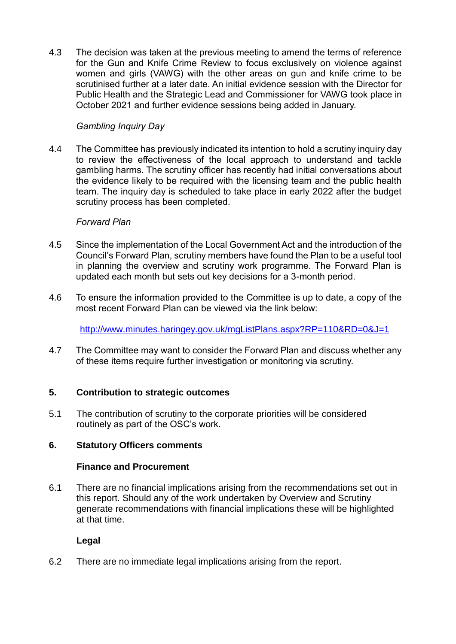4.3 The decision was taken at the previous meeting to amend the terms of reference for the Gun and Knife Crime Review to focus exclusively on violence against women and girls (VAWG) with the other areas on gun and knife crime to be scrutinised further at a later date. An initial evidence session with the Director for Public Health and the Strategic Lead and Commissioner for VAWG took place in October 2021 and further evidence sessions being added in January.

# *Gambling Inquiry Day*

4.4 The Committee has previously indicated its intention to hold a scrutiny inquiry day to review the effectiveness of the local approach to understand and tackle gambling harms. The scrutiny officer has recently had initial conversations about the evidence likely to be required with the licensing team and the public health team. The inquiry day is scheduled to take place in early 2022 after the budget scrutiny process has been completed.

# *Forward Plan*

- 4.5 Since the implementation of the Local Government Act and the introduction of the Council's Forward Plan, scrutiny members have found the Plan to be a useful tool in planning the overview and scrutiny work programme. The Forward Plan is updated each month but sets out key decisions for a 3-month period.
- 4.6 To ensure the information provided to the Committee is up to date, a copy of the most recent Forward Plan can be viewed via the link below:

<http://www.minutes.haringey.gov.uk/mgListPlans.aspx?RP=110&RD=0&J=1>

4.7 The Committee may want to consider the Forward Plan and discuss whether any of these items require further investigation or monitoring via scrutiny.

# **5. Contribution to strategic outcomes**

5.1 The contribution of scrutiny to the corporate priorities will be considered routinely as part of the OSC's work.

# **6. Statutory Officers comments**

# **Finance and Procurement**

6.1 There are no financial implications arising from the recommendations set out in this report. Should any of the work undertaken by Overview and Scrutiny generate recommendations with financial implications these will be highlighted at that time.

# **Legal**

6.2 There are no immediate legal implications arising from the report.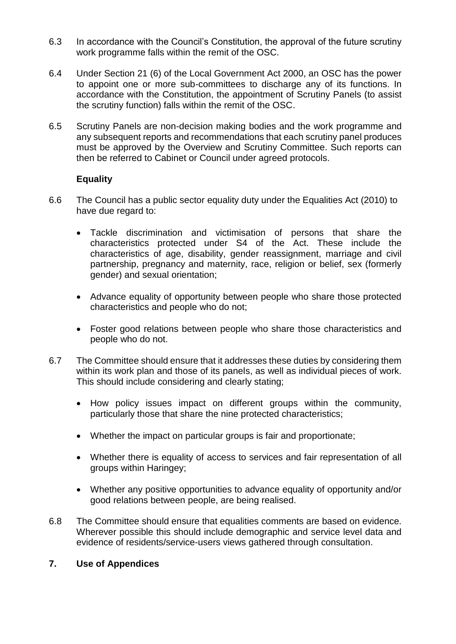- 6.3 In accordance with the Council's Constitution, the approval of the future scrutiny work programme falls within the remit of the OSC.
- 6.4 Under Section 21 (6) of the Local Government Act 2000, an OSC has the power to appoint one or more sub-committees to discharge any of its functions. In accordance with the Constitution, the appointment of Scrutiny Panels (to assist the scrutiny function) falls within the remit of the OSC.
- 6.5 Scrutiny Panels are non-decision making bodies and the work programme and any subsequent reports and recommendations that each scrutiny panel produces must be approved by the Overview and Scrutiny Committee. Such reports can then be referred to Cabinet or Council under agreed protocols.

# **Equality**

- 6.6 The Council has a public sector equality duty under the Equalities Act (2010) to have due regard to:
	- Tackle discrimination and victimisation of persons that share the characteristics protected under S4 of the Act. These include the characteristics of age, disability, gender reassignment, marriage and civil partnership, pregnancy and maternity, race, religion or belief, sex (formerly gender) and sexual orientation;
	- Advance equality of opportunity between people who share those protected characteristics and people who do not;
	- Foster good relations between people who share those characteristics and people who do not.
- 6.7 The Committee should ensure that it addresses these duties by considering them within its work plan and those of its panels, as well as individual pieces of work. This should include considering and clearly stating;
	- How policy issues impact on different groups within the community, particularly those that share the nine protected characteristics;
	- Whether the impact on particular groups is fair and proportionate;
	- Whether there is equality of access to services and fair representation of all groups within Haringey;
	- Whether any positive opportunities to advance equality of opportunity and/or good relations between people, are being realised.
- 6.8 The Committee should ensure that equalities comments are based on evidence. Wherever possible this should include demographic and service level data and evidence of residents/service-users views gathered through consultation.

# **7. Use of Appendices**